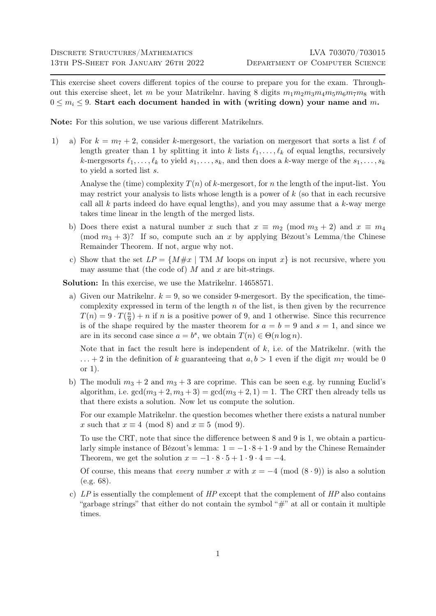This exercise sheet covers different topics of the course to prepare you for the exam. Throughout this exercise sheet, let m be your Matrikelnr. having 8 digits  $m_1 m_2 m_3 m_4 m_5 m_6 m_7 m_8$  with  $0 \leq m_i \leq 9$ . Start each document handed in with (writing down) your name and m.

Note: For this solution, we use various different Matrikelnrs.

1) a) For  $k = m_7 + 2$ , consider k-mergesort, the variation on mergesort that sorts a list  $\ell$  of length greater than 1 by splitting it into k lists  $\ell_1, \ldots, \ell_k$  of equal lengths, recursively k-mergesorts  $\ell_1, \ldots, \ell_k$  to yield  $s_1, \ldots, s_k$ , and then does a k-way merge of the  $s_1, \ldots, s_k$ to yield a sorted list s.

Analyse the (time) complexity  $T(n)$  of k-mergesort, for n the length of the input-list. You may restrict your analysis to lists whose length is a power of  $k$  (so that in each recursive call all  $k$  parts indeed do have equal lengths), and you may assume that a  $k$ -way merge takes time linear in the length of the merged lists.

- b) Does there exist a natural number x such that  $x \equiv m_2 \pmod{m_3 + 2}$  and  $x \equiv m_4$ (mod  $m_3 + 3$ )? If so, compute such an x by applying Bézout's Lemma/the Chinese Remainder Theorem. If not, argue why not.
- c) Show that the set  $LP = \{M \# x \mid TM \ M \text{ loops on input } x\}$  is not recursive, where you may assume that (the code of)  $M$  and  $x$  are bit-strings.

Solution: In this exercise, we use the Matrikelnr. 14658571.

a) Given our Matrikelnr.  $k = 9$ , so we consider 9-mergesort. By the specification, the timecomplexity expressed in term of the length  $n$  of the list, is then given by the recurrence  $T(n) = 9 \cdot T(\frac{n}{9})$  $\frac{n}{9}$  + n if n is a positive power of 9, and 1 otherwise. Since this recurrence is of the shape required by the master theorem for  $a = b = 9$  and  $s = 1$ , and since we are in its second case since  $a = b^s$ , we obtain  $T(n) \in \Theta(n \log n)$ .

Note that in fact the result here is independent of  $k$ , i.e. of the Matrikelnr. (with the  $\dots$  + 2 in the definition of k guaranteeing that  $a, b > 1$  even if the digit  $m<sub>7</sub>$  would be 0 or 1).

b) The moduli  $m_3 + 2$  and  $m_3 + 3$  are coprime. This can be seen e.g. by running Euclid's algorithm, i.e.  $gcd(m_3 + 2, m_3 + 3) = gcd(m_3 + 2, 1) = 1$ . The CRT then already tells us that there exists a solution. Now let us compute the solution.

For our example Matrikelnr. the question becomes whether there exists a natural number x such that  $x \equiv 4 \pmod{8}$  and  $x \equiv 5 \pmod{9}$ .

To use the CRT, note that since the difference between 8 and 9 is 1, we obtain a particularly simple instance of Bézout's lemma:  $1 = -1 \cdot 8 + 1 \cdot 9$  and by the Chinese Remainder Theorem, we get the solution  $x = -1 \cdot 8 \cdot 5 + 1 \cdot 9 \cdot 4 = -4$ .

Of course, this means that every number x with  $x = -4 \pmod{(8 \cdot 9)}$  is also a solution (e.g. 68).

c)  $LP$  is essentially the complement of  $HP$  except that the complement of  $HP$  also contains "garbage strings" that either do not contain the symbol " $\#$ " at all or contain it multiple times.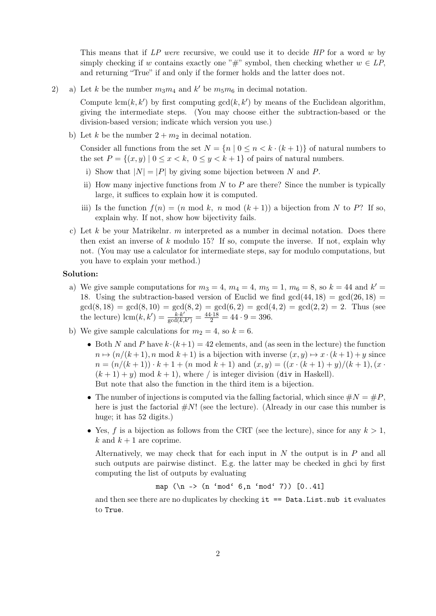This means that if LP were recursive, we could use it to decide HP for a word w by simply checking if w contains exactly one "#" symbol, then checking whether  $w \in LP$ , and returning "True" if and only if the former holds and the latter does not.

2) a) Let k be the number  $m_3m_4$  and k' be  $m_5m_6$  in decimal notation.

Compute  $\text{lcm}(k, k')$  by first computing  $\text{gcd}(k, k')$  by means of the Euclidean algorithm, giving the intermediate steps. (You may choose either the subtraction-based or the division-based version; indicate which version you use.)

b) Let k be the number  $2 + m_2$  in decimal notation.

Consider all functions from the set  $N = \{n \mid 0 \le n \le k \cdot (k+1)\}\$  of natural numbers to the set  $P = \{(x, y) | 0 \le x < k, 0 \le y < k + 1\}$  of pairs of natural numbers.

- i) Show that  $|N| = |P|$  by giving some bijection between N and P.
- ii) How many injective functions from  $N$  to  $P$  are there? Since the number is typically large, it suffices to explain how it is computed.
- iii) Is the function  $f(n) = (n \mod k, n \mod (k+1))$  a bijection from N to P? If so, explain why. If not, show how bijectivity fails.
- c) Let k be your Matrikelnr. m interpreted as a number in decimal notation. Does there then exist an inverse of  $k$  modulo 15? If so, compute the inverse. If not, explain why not. (You may use a calculator for intermediate steps, say for modulo computations, but you have to explain your method.)

## Solution:

- a) We give sample computations for  $m_3 = 4$ ,  $m_4 = 4$ ,  $m_5 = 1$ ,  $m_6 = 8$ , so  $k = 44$  and  $k' =$ 18. Using the subtraction-based version of Euclid we find  $gcd(44, 18) = gcd(26, 18)$  $gcd(8, 18) = gcd(8, 10) = gcd(8, 2) = gcd(6, 2) = gcd(4, 2) = gcd(2, 2) = 2$ . Thus (see the lecture)  $\text{lcm}(k, k') = \frac{k \cdot k'}{\text{gcd}(k, k')} = \frac{44.18}{2} = 44.9 = 396.$
- b) We give sample calculations for  $m_2 = 4$ , so  $k = 6$ .
	- Both N and P have  $k \cdot (k+1) = 42$  elements, and (as seen in the lecture) the function  $n \mapsto (n/(k+1), n \mod k+1)$  is a bijection with inverse  $(x, y) \mapsto x \cdot (k+1) + y$  since  $n = (n/(k+1)) \cdot k + 1 + (n \mod k+1)$  and  $(x, y) = ((x \cdot (k+1) + y)/(k+1), (x \cdot$  $(k+1) + y$  mod  $k+1$ , where / is integer division (div in Haskell). But note that also the function in the third item is a bijection.
	- The number of injections is computed via the falling factorial, which since  $\#N = \#P$ , here is just the factorial  $\#N!$  (see the lecture). (Already in our case this number is huge; it has 52 digits.)
	- Yes, f is a bijection as follows from the CRT (see the lecture), since for any  $k > 1$ , k and  $k + 1$  are coprime.

Alternatively, we may check that for each input in  $N$  the output is in  $P$  and all such outputs are pairwise distinct. E.g. the latter may be checked in ghci by first computing the list of outputs by evaluating

map  $(\n\ln -\n> (n \mod 6, n \mod 7))$  [0..41]

and then see there are no duplicates by checking it == Data.List.nub it evaluates to True.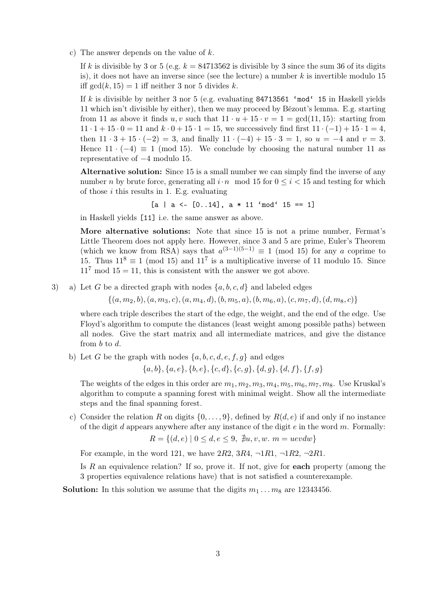c) The answer depends on the value of  $k$ .

If k is divisible by 3 or 5 (e.g.  $k = 84713562$  is divisible by 3 since the sum 36 of its digits is), it does not have an inverse since (see the lecture) a number  $k$  is invertible modulo 15 iff  $gcd(k, 15) = 1$  iff neither 3 nor 5 divides k.

If k is divisible by neither 3 nor 5 (e.g. evaluating  $84713561$  'mod' 15 in Haskell yields 11 which isn't divisible by either), then we may proceed by Bézout's lemma. E.g. starting from 11 as above it finds u, v such that  $11 \cdot u + 15 \cdot v = 1 = \gcd(11, 15)$ : starting from  $11 \cdot 1 + 15 \cdot 0 = 11$  and  $k \cdot 0 + 15 \cdot 1 = 15$ , we successively find first  $11 \cdot (-1) + 15 \cdot 1 = 4$ , then  $11 \cdot 3 + 15 \cdot (-2) = 3$ , and finally  $11 \cdot (-4) + 15 \cdot 3 = 1$ , so  $u = -4$  and  $v = 3$ . Hence  $11 \cdot (-4) \equiv 1 \pmod{15}$ . We conclude by choosing the natural number 11 as representative of −4 modulo 15.

Alternative solution: Since 15 is a small number we can simply find the inverse of any number n by brute force, generating all  $i \cdot n \mod 15$  for  $0 \leq i \leq 15$  and testing for which of those  $i$  this results in 1. E.g. evaluating

$$
[a \mid a \leq [0..14], a * 11 \mod 15 == 1]
$$

in Haskell yields [11] i.e. the same answer as above.

More alternative solutions: Note that since 15 is not a prime number, Fermat's Little Theorem does not apply here. However, since 3 and 5 are prime, Euler's Theorem (which we know from RSA) says that  $a^{(3-1)(5-1)} \equiv 1 \pmod{15}$  for any a coprime to 15. Thus  $11^8 \equiv 1 \pmod{15}$  and  $11^7$  is a multiplicative inverse of 11 modulo 15. Since  $11<sup>7</sup>$  mod  $15 = 11$ , this is consistent with the answer we got above.

3) a) Let G be a directed graph with nodes  $\{a, b, c, d\}$  and labeled edges

 $\{(a, m_2, b), (a, m_3, c), (a, m_4, d), (b, m_5, a), (b, m_6, a), (c, m_7, d), (d, m_8, c)\}\$ 

where each triple describes the start of the edge, the weight, and the end of the edge. Use Floyd's algorithm to compute the distances (least weight among possible paths) between all nodes. Give the start matrix and all intermediate matrices, and give the distance from b to d.

b) Let G be the graph with nodes  $\{a, b, c, d, e, f, g\}$  and edges

 ${a, b}, {a, e}, {b, e}, {c, d}, {c, g}, {d, g}, {d, f}, {f, g}$ 

The weights of the edges in this order are  $m_1, m_2, m_3, m_4, m_5, m_6, m_7, m_8$ . Use Kruskal's algorithm to compute a spanning forest with minimal weight. Show all the intermediate steps and the final spanning forest.

c) Consider the relation R on digits  $\{0, \ldots, 9\}$ , defined by  $R(d, e)$  if and only if no instance of the digit d appears anywhere after any instance of the digit  $e$  in the word  $m$ . Formally:

$$
R = \{(d, e) \mid 0 \le d, e \le 9, \exists u, v, w. \ m = uevdw\}
$$

For example, in the word 121, we have  $2R2$ ,  $3R4$ ,  $\neg 1R1$ ,  $\neg 1R2$ ,  $\neg 2R1$ .

Is R an equivalence relation? If so, prove it. If not, give for each property (among the 3 properties equivalence relations have) that is not satisfied a counterexample.

**Solution:** In this solution we assume that the digits  $m_1 \ldots m_8$  are 12343456.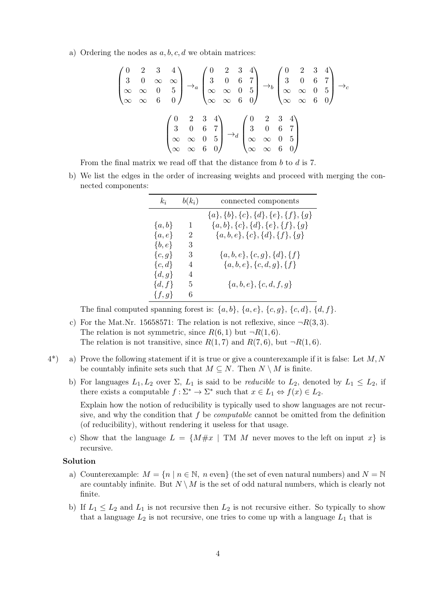a) Ordering the nodes as  $a, b, c, d$  we obtain matrices:

$$
\begin{pmatrix}\n0 & 2 & 3 & 4 \\
3 & 0 & \infty & \infty \\
\infty & \infty & 0 & 5 \\
\infty & \infty & 6 & 0\n\end{pmatrix}\n\rightarrow_a\n\begin{pmatrix}\n0 & 2 & 3 & 4 \\
3 & 0 & 6 & 7 \\
\infty & \infty & 0 & 5 \\
\infty & \infty & 6 & 0\n\end{pmatrix}\n\rightarrow_b\n\begin{pmatrix}\n0 & 2 & 3 & 4 \\
3 & 0 & 6 & 7 \\
\infty & \infty & 0 & 5 \\
\infty & \infty & 6 & 0\n\end{pmatrix}\n\rightarrow_c\n\begin{pmatrix}\n0 & 2 & 3 & 4 \\
3 & 0 & 6 & 7 \\
\infty & \infty & 6 & 0\n\end{pmatrix}\n\rightarrow_c\n\begin{pmatrix}\n0 & 2 & 3 & 4 \\
3 & 0 & 6 & 7 \\
\infty & \infty & 0 & 5 \\
\infty & \infty & 6 & 0\n\end{pmatrix}
$$

From the final matrix we read off that the distance from b to d is 7.

b) We list the edges in the order of increasing weights and proceed with merging the connected components:

| $k_i$      | $b(k_i)$ | connected components                              |
|------------|----------|---------------------------------------------------|
|            |          | $\{a\}, \{b\}, \{c\}, \{d\}, \{e\}, \{f\}, \{g\}$ |
| $\{a,b\}$  | 1        | $\{a,b\},\{c\},\{d\},\{e\},\{f\},\{g\}$           |
| $\{a,e\}$  | 2        | $\{a, b, e\}, \{c\}, \{d\}, \{f\}, \{g\}$         |
| $\{b,e\}$  | 3        |                                                   |
| $\{c,g\}$  | 3        | $\{a,b,e\},\{c,g\},\{d\},\{f\}$                   |
| $\{c,d\}$  | 4        | ${a,b,e}, {c,d,g}, {f}$                           |
| $\{d,g\}$  | 4        |                                                   |
| $\{d, f\}$ | 5        | ${a, b, e}, {c, d, f, g}$                         |
| $\{f,g\}$  | 6        |                                                   |

The final computed spanning forest is:  $\{a,b\}$ ,  $\{a,e\}$ ,  $\{c,g\}$ ,  $\{c,d\}$ ,  $\{d,f\}$ .

- c) For the Mat.Nr. 15658571: The relation is not reflexive, since  $\neg R(3,3)$ . The relation is not symmetric, since  $R(6, 1)$  but  $\neg R(1, 6)$ . The relation is not transitive, since  $R(1, 7)$  and  $R(7, 6)$ , but  $\neg R(1, 6)$ .
- $4^*$ ) a) Prove the following statement if it is true or give a counterexample if it is false: Let M, N be countably infinite sets such that  $M \subseteq N$ . Then  $N \setminus M$  is finite.
	- b) For languages  $L_1, L_2$  over  $\Sigma$ ,  $L_1$  is said to be *reducible* to  $L_2$ , denoted by  $L_1 \leq L_2$ , if there exists a computable  $f : \Sigma^* \to \Sigma^*$  such that  $x \in L_1 \Leftrightarrow f(x) \in L_2$ .

Explain how the notion of reducibility is typically used to show languages are not recursive, and why the condition that  $f$  be *computable* cannot be omitted from the definition (of reducibility), without rendering it useless for that usage.

c) Show that the language  $L = \{M \# x \mid TM \ M$  never moves to the left on input  $x\}$  is recursive.

## Solution

- a) Counterexample:  $M = \{n \mid n \in \mathbb{N}, n \text{ even}\}$  (the set of even natural numbers) and  $N = \mathbb{N}$ are countably infinite. But  $N \setminus M$  is the set of odd natural numbers, which is clearly not finite.
- b) If  $L_1 \leq L_2$  and  $L_1$  is not recursive then  $L_2$  is not recursive either. So typically to show that a language  $L_2$  is not recursive, one tries to come up with a language  $L_1$  that is